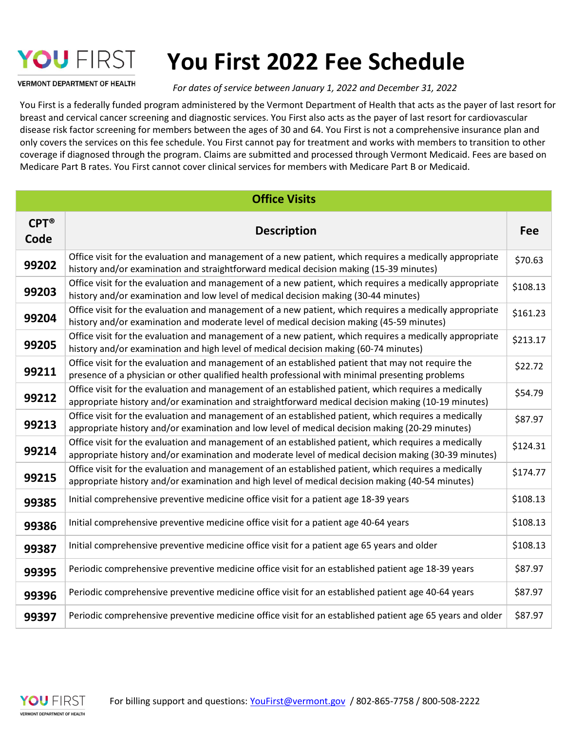# YOU FIRST

## You First 2022 Fee Schedule

**VERMONT DEPARTMENT OF HEALTH** 

For dates of service between January 1, 2022 and December 31, 2022

You First is a federally funded program administered by the Vermont Department of Health that acts as the payer of last resort for breast and cervical cancer screening and diagnostic services. You First also acts as the payer of last resort for cardiovascular disease risk factor screening for members between the ages of 30 and 64. You First is not a comprehensive insurance plan and only covers the services on this fee schedule. You First cannot pay for treatment and works with members to transition to other coverage if diagnosed through the program. Claims are submitted and processed through Vermont Medicaid. Fees are based on Medicare Part B rates. You First cannot cover clinical services for members with Medicare Part B or Medicaid.

| <b>Office Visits</b>      |                                                                                                                                                                                                              |            |  |
|---------------------------|--------------------------------------------------------------------------------------------------------------------------------------------------------------------------------------------------------------|------------|--|
| $CPT^{\circledR}$<br>Code | <b>Description</b>                                                                                                                                                                                           | <b>Fee</b> |  |
| 99202                     | Office visit for the evaluation and management of a new patient, which requires a medically appropriate<br>history and/or examination and straightforward medical decision making (15-39 minutes)            | \$70.63    |  |
| 99203                     | Office visit for the evaluation and management of a new patient, which requires a medically appropriate<br>history and/or examination and low level of medical decision making (30-44 minutes)               | \$108.13   |  |
| 99204                     | Office visit for the evaluation and management of a new patient, which requires a medically appropriate<br>history and/or examination and moderate level of medical decision making (45-59 minutes)          | \$161.23   |  |
| 99205                     | Office visit for the evaluation and management of a new patient, which requires a medically appropriate<br>history and/or examination and high level of medical decision making (60-74 minutes)              | \$213.17   |  |
| 99211                     | Office visit for the evaluation and management of an established patient that may not require the<br>presence of a physician or other qualified health professional with minimal presenting problems         | \$22.72    |  |
| 99212                     | Office visit for the evaluation and management of an established patient, which requires a medically<br>appropriate history and/or examination and straightforward medical decision making (10-19 minutes)   | \$54.79    |  |
| 99213                     | Office visit for the evaluation and management of an established patient, which requires a medically<br>appropriate history and/or examination and low level of medical decision making (20-29 minutes)      | \$87.97    |  |
| 99214                     | Office visit for the evaluation and management of an established patient, which requires a medically<br>appropriate history and/or examination and moderate level of medical decision making (30-39 minutes) | \$124.31   |  |
| 99215                     | Office visit for the evaluation and management of an established patient, which requires a medically<br>appropriate history and/or examination and high level of medical decision making (40-54 minutes)     | \$174.77   |  |
| 99385                     | Initial comprehensive preventive medicine office visit for a patient age 18-39 years                                                                                                                         | \$108.13   |  |
| 99386                     | Initial comprehensive preventive medicine office visit for a patient age 40-64 years                                                                                                                         | \$108.13   |  |
| 99387                     | Initial comprehensive preventive medicine office visit for a patient age 65 years and older                                                                                                                  | \$108.13   |  |
| 99395                     | Periodic comprehensive preventive medicine office visit for an established patient age 18-39 years                                                                                                           | \$87.97    |  |
| 99396                     | Periodic comprehensive preventive medicine office visit for an established patient age 40-64 years                                                                                                           | \$87.97    |  |
| 99397                     | Periodic comprehensive preventive medicine office visit for an established patient age 65 years and older                                                                                                    | \$87.97    |  |

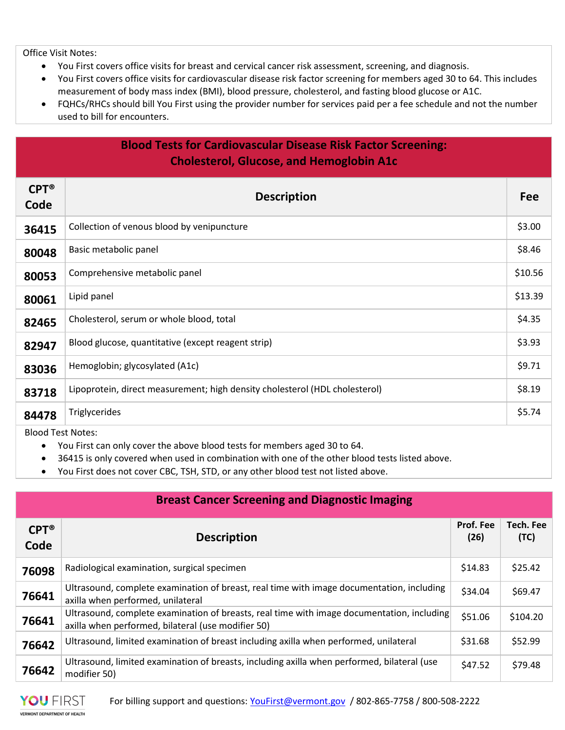Office Visit Notes:

- You First covers office visits for breast and cervical cancer risk assessment, screening, and diagnosis.
- You First covers office visits for cardiovascular disease risk factor screening for members aged 30 to 64. This includes measurement of body mass index (BMI), blood pressure, cholesterol, and fasting blood glucose or A1C.
- FQHCs/RHCs should bill You First using the provider number for services paid per a fee schedule and not the number used to bill for encounters.

#### Blood Tests for Cardiovascular Disease Risk Factor Screening: Cholesterol, Glucose, and Hemoglobin A1c

| $CPT^*$<br>Code          | <b>Description</b>                                                          | <b>Fee</b> |
|--------------------------|-----------------------------------------------------------------------------|------------|
| 36415                    | Collection of venous blood by venipuncture                                  | \$3.00     |
| 80048                    | Basic metabolic panel                                                       | \$8.46     |
| 80053                    | Comprehensive metabolic panel                                               | \$10.56    |
| 80061                    | Lipid panel                                                                 | \$13.39    |
| 82465                    | Cholesterol, serum or whole blood, total                                    | \$4.35     |
| 82947                    | Blood glucose, quantitative (except reagent strip)                          | \$3.93     |
| 83036                    | Hemoglobin; glycosylated (A1c)                                              | \$9.71     |
| 83718                    | Lipoprotein, direct measurement; high density cholesterol (HDL cholesterol) | \$8.19     |
| 84478                    | Triglycerides                                                               | \$5.74     |
| <b>Blood Test Notes:</b> |                                                                             |            |

- You First can only cover the above blood tests for members aged 30 to 64.
- 36415 is only covered when used in combination with one of the other blood tests listed above.
- You First does not cover CBC, TSH, STD, or any other blood test not listed above.

| <b>Breast Cancer Screening and Diagnostic Imaging</b> |                                                                                                                                                  |                   |                          |
|-------------------------------------------------------|--------------------------------------------------------------------------------------------------------------------------------------------------|-------------------|--------------------------|
| $CPT^{\circledR}$<br>Code                             | <b>Description</b>                                                                                                                               | Prof. Fee<br>(26) | <b>Tech. Fee</b><br>(TC) |
| 76098                                                 | Radiological examination, surgical specimen                                                                                                      | \$14.83           | \$25.42                  |
| 76641                                                 | Ultrasound, complete examination of breast, real time with image documentation, including<br>axilla when performed, unilateral                   | \$34.04           | \$69.47                  |
| 76641                                                 | Ultrasound, complete examination of breasts, real time with image documentation, including<br>axilla when performed, bilateral (use modifier 50) | \$51.06           | \$104.20                 |
| 76642                                                 | Ultrasound, limited examination of breast including axilla when performed, unilateral                                                            | \$31.68           | \$52.99                  |
| 76642                                                 | Ultrasound, limited examination of breasts, including axilla when performed, bilateral (use<br>modifier 50)                                      | \$47.52           | \$79.48                  |

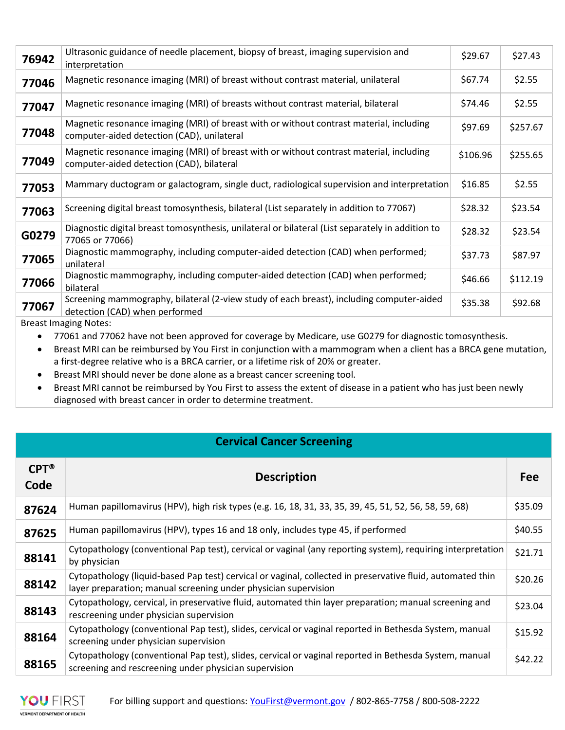| 76942 | Ultrasonic guidance of needle placement, biopsy of breast, imaging supervision and<br>interpretation                                  | \$29.67  | \$27.43  |
|-------|---------------------------------------------------------------------------------------------------------------------------------------|----------|----------|
| 77046 | Magnetic resonance imaging (MRI) of breast without contrast material, unilateral                                                      | \$67.74  | \$2.55   |
| 77047 | Magnetic resonance imaging (MRI) of breasts without contrast material, bilateral                                                      | \$74.46  | \$2.55   |
| 77048 | Magnetic resonance imaging (MRI) of breast with or without contrast material, including<br>computer-aided detection (CAD), unilateral | \$97.69  | \$257.67 |
| 77049 | Magnetic resonance imaging (MRI) of breast with or without contrast material, including<br>computer-aided detection (CAD), bilateral  | \$106.96 | \$255.65 |
| 77053 | Mammary ductogram or galactogram, single duct, radiological supervision and interpretation                                            | \$16.85  | \$2.55   |
| 77063 | Screening digital breast tomosynthesis, bilateral (List separately in addition to 77067)                                              | \$28.32  | \$23.54  |
| G0279 | Diagnostic digital breast tomosynthesis, unilateral or bilateral (List separately in addition to<br>77065 or 77066)                   | \$28.32  | \$23.54  |
| 77065 | Diagnostic mammography, including computer-aided detection (CAD) when performed;<br>unilateral                                        | \$37.73  | \$87.97  |
| 77066 | Diagnostic mammography, including computer-aided detection (CAD) when performed;<br>bilateral                                         | \$46.66  | \$112.19 |
| 77067 | Screening mammography, bilateral (2-view study of each breast), including computer-aided<br>detection (CAD) when performed            | \$35.38  | \$92.68  |
|       |                                                                                                                                       |          |          |

Breast Imaging Notes:

• 77061 and 77062 have not been approved for coverage by Medicare, use G0279 for diagnostic tomosynthesis.

 Breast MRI can be reimbursed by You First in conjunction with a mammogram when a client has a BRCA gene mutation, a first-degree relative who is a BRCA carrier, or a lifetime risk of 20% or greater.

Breast MRI should never be done alone as a breast cancer screening tool.

 Breast MRI cannot be reimbursed by You First to assess the extent of disease in a patient who has just been newly diagnosed with breast cancer in order to determine treatment.

#### Cervical Cancer Screening

| $CPT^{\circledR}$<br>Code | <b>Description</b>                                                                                                                                                            | <b>Fee</b> |
|---------------------------|-------------------------------------------------------------------------------------------------------------------------------------------------------------------------------|------------|
| 87624                     | Human papillomavirus (HPV), high risk types (e.g. 16, 18, 31, 33, 35, 39, 45, 51, 52, 56, 58, 59, 68)                                                                         | \$35.09    |
| 87625                     | Human papillomavirus (HPV), types 16 and 18 only, includes type 45, if performed                                                                                              | \$40.55    |
| 88141                     | Cytopathology (conventional Pap test), cervical or vaginal (any reporting system), requiring interpretation<br>by physician                                                   | \$21.71    |
| 88142                     | Cytopathology (liquid-based Pap test) cervical or vaginal, collected in preservative fluid, automated thin<br>layer preparation; manual screening under physician supervision | \$20.26    |
| 88143                     | Cytopathology, cervical, in preservative fluid, automated thin layer preparation; manual screening and<br>rescreening under physician supervision                             | \$23.04    |
| 88164                     | Cytopathology (conventional Pap test), slides, cervical or vaginal reported in Bethesda System, manual<br>screening under physician supervision                               | \$15.92    |
| 88165                     | Cytopathology (conventional Pap test), slides, cervical or vaginal reported in Bethesda System, manual<br>screening and rescreening under physician supervision               | \$42.22    |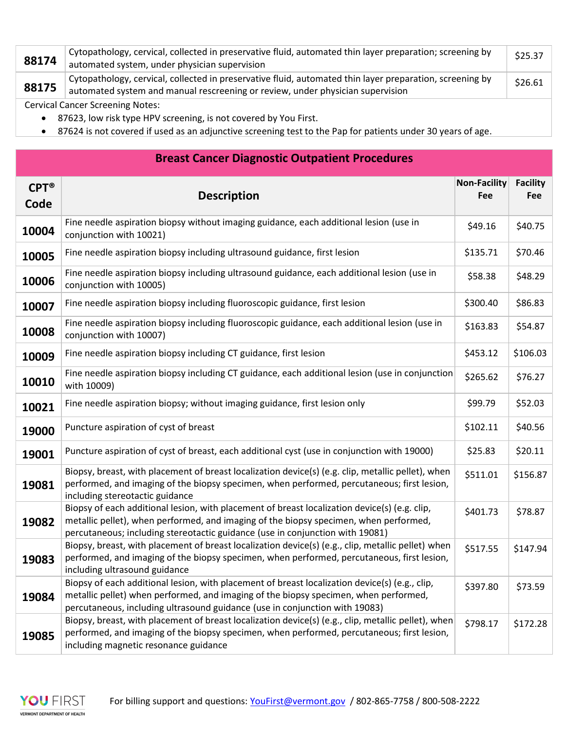| 88174 | Cytopathology, cervical, collected in preservative fluid, automated thin layer preparation; screening by<br>automated system, under physician supervision                                  | \$25.37 |
|-------|--------------------------------------------------------------------------------------------------------------------------------------------------------------------------------------------|---------|
| 88175 | Cytopathology, cervical, collected in preservative fluid, automated thin layer preparation, screening by<br>automated system and manual rescreening or review, under physician supervision | \$26.61 |
|       | <b>Cervical Cancer Screening Notes:</b>                                                                                                                                                    |         |

- 87623, low risk type HPV screening, is not covered by You First.
- 87624 is not covered if used as an adjunctive screening test to the Pap for patients under 30 years of age.

### Breast Cancer Diagnostic Outpatient Procedures

| $CPT^*$<br>Code | <b>Description</b>                                                                                                                                                                                                                                                      | <b>Non-Facility</b><br>Fee | <b>Facility</b><br>Fee |
|-----------------|-------------------------------------------------------------------------------------------------------------------------------------------------------------------------------------------------------------------------------------------------------------------------|----------------------------|------------------------|
| 10004           | Fine needle aspiration biopsy without imaging guidance, each additional lesion (use in<br>conjunction with 10021)                                                                                                                                                       | \$49.16                    | \$40.75                |
| 10005           | Fine needle aspiration biopsy including ultrasound guidance, first lesion                                                                                                                                                                                               | \$135.71                   | \$70.46                |
| 10006           | Fine needle aspiration biopsy including ultrasound guidance, each additional lesion (use in<br>conjunction with 10005)                                                                                                                                                  | \$58.38                    | \$48.29                |
| 10007           | Fine needle aspiration biopsy including fluoroscopic guidance, first lesion                                                                                                                                                                                             | \$300.40                   | \$86.83                |
| 10008           | Fine needle aspiration biopsy including fluoroscopic guidance, each additional lesion (use in<br>conjunction with 10007)                                                                                                                                                | \$163.83                   | \$54.87                |
| 10009           | Fine needle aspiration biopsy including CT guidance, first lesion                                                                                                                                                                                                       | \$453.12                   | \$106.03               |
| 10010           | Fine needle aspiration biopsy including CT guidance, each additional lesion (use in conjunction<br>with 10009)                                                                                                                                                          | \$265.62                   | \$76.27                |
| 10021           | Fine needle aspiration biopsy; without imaging guidance, first lesion only                                                                                                                                                                                              | \$99.79                    | \$52.03                |
| 19000           | Puncture aspiration of cyst of breast                                                                                                                                                                                                                                   | \$102.11                   | \$40.56                |
| 19001           | Puncture aspiration of cyst of breast, each additional cyst (use in conjunction with 19000)                                                                                                                                                                             | \$25.83                    | \$20.11                |
| 19081           | Biopsy, breast, with placement of breast localization device(s) (e.g. clip, metallic pellet), when<br>performed, and imaging of the biopsy specimen, when performed, percutaneous; first lesion,<br>including stereotactic guidance                                     | \$511.01                   | \$156.87               |
| 19082           | Biopsy of each additional lesion, with placement of breast localization device(s) (e.g. clip,<br>metallic pellet), when performed, and imaging of the biopsy specimen, when performed,<br>percutaneous; including stereotactic guidance (use in conjunction with 19081) | \$401.73                   | \$78.87                |
| 19083           | Biopsy, breast, with placement of breast localization device(s) (e.g., clip, metallic pellet) when<br>performed, and imaging of the biopsy specimen, when performed, percutaneous, first lesion,<br>including ultrasound guidance                                       | \$517.55                   | \$147.94               |
| 19084           | Biopsy of each additional lesion, with placement of breast localization device(s) (e.g., clip,<br>metallic pellet) when performed, and imaging of the biopsy specimen, when performed,<br>percutaneous, including ultrasound guidance (use in conjunction with 19083)   | \$397.80                   | \$73.59                |
| 19085           | Biopsy, breast, with placement of breast localization device(s) (e.g., clip, metallic pellet), when<br>performed, and imaging of the biopsy specimen, when performed, percutaneous; first lesion,<br>including magnetic resonance guidance                              | \$798.17                   | \$172.28               |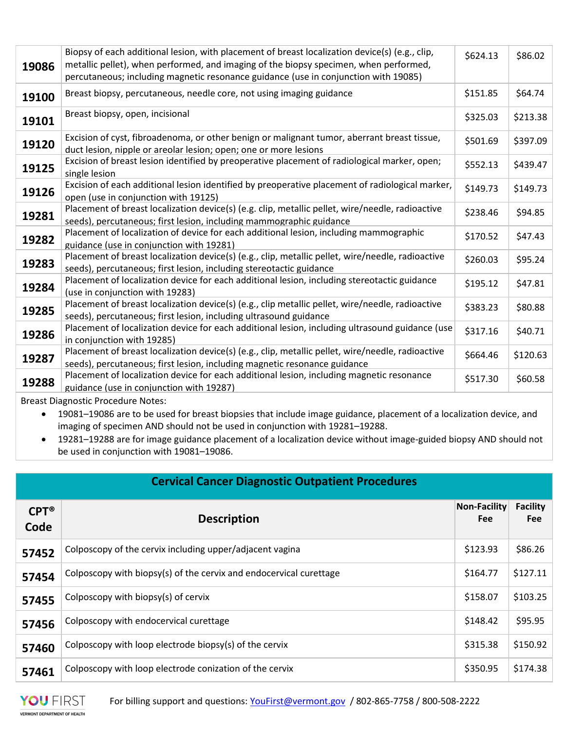| 19086 | Biopsy of each additional lesion, with placement of breast localization device(s) (e.g., clip,<br>metallic pellet), when performed, and imaging of the biopsy specimen, when performed,<br>percutaneous; including magnetic resonance guidance (use in conjunction with 19085) | \$624.13 | \$86.02  |
|-------|--------------------------------------------------------------------------------------------------------------------------------------------------------------------------------------------------------------------------------------------------------------------------------|----------|----------|
| 19100 | Breast biopsy, percutaneous, needle core, not using imaging guidance                                                                                                                                                                                                           | \$151.85 | \$64.74  |
| 19101 | Breast biopsy, open, incisional                                                                                                                                                                                                                                                | \$325.03 | \$213.38 |
| 19120 | Excision of cyst, fibroadenoma, or other benign or malignant tumor, aberrant breast tissue,<br>duct lesion, nipple or areolar lesion; open; one or more lesions                                                                                                                | \$501.69 | \$397.09 |
| 19125 | Excision of breast lesion identified by preoperative placement of radiological marker, open;<br>single lesion                                                                                                                                                                  | \$552.13 | \$439.47 |
| 19126 | Excision of each additional lesion identified by preoperative placement of radiological marker,<br>open (use in conjunction with 19125)                                                                                                                                        | \$149.73 | \$149.73 |
| 19281 | Placement of breast localization device(s) (e.g. clip, metallic pellet, wire/needle, radioactive<br>seeds), percutaneous; first lesion, including mammographic guidance                                                                                                        | \$238.46 | \$94.85  |
| 19282 | Placement of localization of device for each additional lesion, including mammographic<br>guidance (use in conjunction with 19281)                                                                                                                                             | \$170.52 | \$47.43  |
| 19283 | Placement of breast localization device(s) (e.g., clip, metallic pellet, wire/needle, radioactive<br>seeds), percutaneous; first lesion, including stereotactic guidance                                                                                                       | \$260.03 | \$95.24  |
| 19284 | Placement of localization device for each additional lesion, including stereotactic guidance<br>(use in conjunction with 19283)                                                                                                                                                | \$195.12 | \$47.81  |
| 19285 | Placement of breast localization device(s) (e.g., clip metallic pellet, wire/needle, radioactive<br>seeds), percutaneous; first lesion, including ultrasound guidance                                                                                                          | \$383.23 | \$80.88  |
| 19286 | Placement of localization device for each additional lesion, including ultrasound guidance (use<br>in conjunction with 19285)                                                                                                                                                  | \$317.16 | \$40.71  |
| 19287 | Placement of breast localization device(s) (e.g., clip, metallic pellet, wire/needle, radioactive<br>seeds), percutaneous; first lesion, including magnetic resonance guidance                                                                                                 | \$664.46 | \$120.63 |
| 19288 | Placement of localization device for each additional lesion, including magnetic resonance<br>guidance (use in conjunction with 19287)                                                                                                                                          | \$517.30 | \$60.58  |
|       | Dreast Diagnastic Dreasdure Nates:                                                                                                                                                                                                                                             |          |          |

Breast Diagnostic Procedure Notes:

 19081–19086 are to be used for breast biopsies that include image guidance, placement of a localization device, and imaging of specimen AND should not be used in conjunction with 19281–19288.

 19281–19288 are for image guidance placement of a localization device without image-guided biopsy AND should not be used in conjunction with 19081–19086.

| <b>Cervical Cancer Diagnostic Outpatient Procedures</b> |                                                                    |                            |                               |
|---------------------------------------------------------|--------------------------------------------------------------------|----------------------------|-------------------------------|
| $CPT^{\circledR}$<br>Code                               | <b>Description</b>                                                 | <b>Non-Facility</b><br>Fee | <b>Facility</b><br><b>Fee</b> |
| 57452                                                   | Colposcopy of the cervix including upper/adjacent vagina           | \$123.93                   | \$86.26                       |
| 57454                                                   | Colposcopy with biopsy(s) of the cervix and endocervical curettage | \$164.77                   | \$127.11                      |
| 57455                                                   | Colposcopy with biopsy(s) of cervix                                | \$158.07                   | \$103.25                      |
| 57456                                                   | Colposcopy with endocervical curettage                             | \$148.42                   | \$95.95                       |
| 57460                                                   | Colposcopy with loop electrode biopsy(s) of the cervix             | \$315.38                   | \$150.92                      |
| 57461                                                   | Colposcopy with loop electrode conization of the cervix            | \$350.95                   | \$174.38                      |

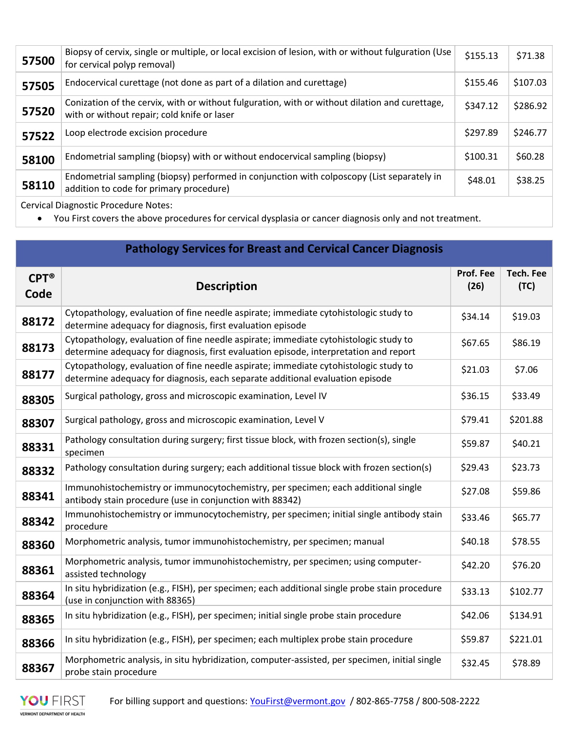| 57500                                | Biopsy of cervix, single or multiple, or local excision of lesion, with or without fulguration (Use<br>for cervical polyp removal)            | \$155.13 | \$71.38  |  |
|--------------------------------------|-----------------------------------------------------------------------------------------------------------------------------------------------|----------|----------|--|
| 57505                                | Endocervical curettage (not done as part of a dilation and curettage)                                                                         | \$155.46 | \$107.03 |  |
| 57520                                | Conization of the cervix, with or without fulguration, with or without dilation and curettage,<br>with or without repair; cold knife or laser | \$347.12 | \$286.92 |  |
| 57522                                | Loop electrode excision procedure                                                                                                             | \$297.89 | \$246.77 |  |
| 58100                                | Endometrial sampling (biopsy) with or without endocervical sampling (biopsy)                                                                  | \$100.31 | \$60.28  |  |
| 58110                                | Endometrial sampling (biopsy) performed in conjunction with colposcopy (List separately in<br>addition to code for primary procedure)         | \$48.01  | \$38.25  |  |
| Convical Diagnostic Drocoduro Notos: |                                                                                                                                               |          |          |  |

Cervical Diagnostic Procedure Notes:

You First covers the above procedures for cervical dysplasia or cancer diagnosis only and not treatment.

|                           | <b>Pathology Services for Breast and Cervical Cancer Diagnosis</b>                                                                                                            |                   |                          |
|---------------------------|-------------------------------------------------------------------------------------------------------------------------------------------------------------------------------|-------------------|--------------------------|
| $CPT^{\circledR}$<br>Code | <b>Description</b>                                                                                                                                                            | Prof. Fee<br>(26) | <b>Tech. Fee</b><br>(TC) |
| 88172                     | Cytopathology, evaluation of fine needle aspirate; immediate cytohistologic study to<br>determine adequacy for diagnosis, first evaluation episode                            | \$34.14           | \$19.03                  |
| 88173                     | Cytopathology, evaluation of fine needle aspirate; immediate cytohistologic study to<br>determine adequacy for diagnosis, first evaluation episode, interpretation and report | \$67.65           | \$86.19                  |
| 88177                     | Cytopathology, evaluation of fine needle aspirate; immediate cytohistologic study to<br>determine adequacy for diagnosis, each separate additional evaluation episode         | \$21.03           | \$7.06                   |
| 88305                     | Surgical pathology, gross and microscopic examination, Level IV                                                                                                               | \$36.15           | \$33.49                  |
| 88307                     | Surgical pathology, gross and microscopic examination, Level V                                                                                                                | \$79.41           | \$201.88                 |
| 88331                     | Pathology consultation during surgery; first tissue block, with frozen section(s), single<br>specimen                                                                         | \$59.87           | \$40.21                  |
| 88332                     | Pathology consultation during surgery; each additional tissue block with frozen section(s)                                                                                    | \$29.43           | \$23.73                  |
| 88341                     | Immunohistochemistry or immunocytochemistry, per specimen; each additional single<br>antibody stain procedure (use in conjunction with 88342)                                 | \$27.08           | \$59.86                  |
| 88342                     | Immunohistochemistry or immunocytochemistry, per specimen; initial single antibody stain<br>procedure                                                                         | \$33.46           | \$65.77                  |
| 88360                     | Morphometric analysis, tumor immunohistochemistry, per specimen; manual                                                                                                       | \$40.18           | \$78.55                  |
| 88361                     | Morphometric analysis, tumor immunohistochemistry, per specimen; using computer-<br>assisted technology                                                                       | \$42.20           | \$76.20                  |
| 88364                     | In situ hybridization (e.g., FISH), per specimen; each additional single probe stain procedure<br>(use in conjunction with 88365)                                             | \$33.13           | \$102.77                 |
| 88365                     | In situ hybridization (e.g., FISH), per specimen; initial single probe stain procedure                                                                                        | \$42.06           | \$134.91                 |
| 88366                     | In situ hybridization (e.g., FISH), per specimen; each multiplex probe stain procedure                                                                                        | \$59.87           | \$221.01                 |
| 88367                     | Morphometric analysis, in situ hybridization, computer-assisted, per specimen, initial single<br>probe stain procedure                                                        | \$32.45           | \$78.89                  |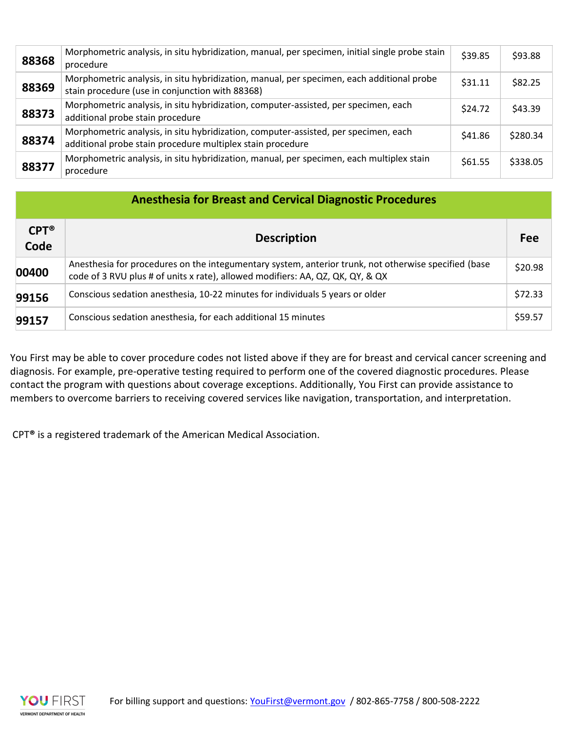| 88368 | Morphometric analysis, in situ hybridization, manual, per specimen, initial single probe stain<br>procedure                                       | \$39.85 | \$93.88  |
|-------|---------------------------------------------------------------------------------------------------------------------------------------------------|---------|----------|
| 88369 | Morphometric analysis, in situ hybridization, manual, per specimen, each additional probe<br>stain procedure (use in conjunction with 88368)      | \$31.11 | \$82.25  |
| 88373 | Morphometric analysis, in situ hybridization, computer-assisted, per specimen, each<br>additional probe stain procedure                           | \$24.72 | \$43.39  |
| 88374 | Morphometric analysis, in situ hybridization, computer-assisted, per specimen, each<br>additional probe stain procedure multiplex stain procedure | \$41.86 | \$280.34 |
| 88377 | Morphometric analysis, in situ hybridization, manual, per specimen, each multiplex stain<br>procedure                                             | \$61.55 | \$338.05 |

| <b>Anesthesia for Breast and Cervical Diagnostic Procedures</b> |                                                                                                                                                                                        |         |  |
|-----------------------------------------------------------------|----------------------------------------------------------------------------------------------------------------------------------------------------------------------------------------|---------|--|
| $CPT^{\circledR}$<br>Code                                       | <b>Description</b>                                                                                                                                                                     | Fee     |  |
| 00400                                                           | Anesthesia for procedures on the integumentary system, anterior trunk, not otherwise specified (base<br>code of 3 RVU plus # of units x rate), allowed modifiers: AA, QZ, QK, QY, & QX | \$20.98 |  |
| 99156                                                           | Conscious sedation anesthesia, 10-22 minutes for individuals 5 years or older                                                                                                          | \$72.33 |  |
| 99157                                                           | Conscious sedation anesthesia, for each additional 15 minutes                                                                                                                          | \$59.57 |  |

You First may be able to cover procedure codes not listed above if they are for breast and cervical cancer screening and diagnosis. For example, pre-operative testing required to perform one of the covered diagnostic procedures. Please contact the program with questions about coverage exceptions. Additionally, You First can provide assistance to members to overcome barriers to receiving covered services like navigation, transportation, and interpretation.

CPT® is a registered trademark of the American Medical Association.

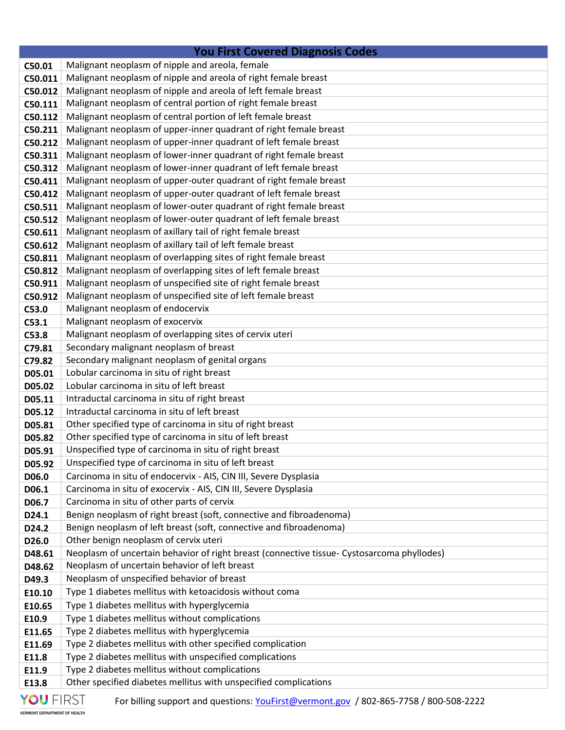| <b>You First Covered Diagnosis Codes</b> |                                                                                                                   |  |
|------------------------------------------|-------------------------------------------------------------------------------------------------------------------|--|
| C50.01                                   | Malignant neoplasm of nipple and areola, female                                                                   |  |
| C50.011                                  | Malignant neoplasm of nipple and areola of right female breast                                                    |  |
| C50.012                                  | Malignant neoplasm of nipple and areola of left female breast                                                     |  |
| C50.111                                  | Malignant neoplasm of central portion of right female breast                                                      |  |
| C50.112                                  | Malignant neoplasm of central portion of left female breast                                                       |  |
| C50.211                                  | Malignant neoplasm of upper-inner quadrant of right female breast                                                 |  |
| C50.212                                  | Malignant neoplasm of upper-inner quadrant of left female breast                                                  |  |
| C50.311                                  | Malignant neoplasm of lower-inner quadrant of right female breast                                                 |  |
| C50.312                                  | Malignant neoplasm of lower-inner quadrant of left female breast                                                  |  |
| C50.411                                  | Malignant neoplasm of upper-outer quadrant of right female breast                                                 |  |
| C50.412                                  | Malignant neoplasm of upper-outer quadrant of left female breast                                                  |  |
| C50.511                                  | Malignant neoplasm of lower-outer quadrant of right female breast                                                 |  |
| C50.512                                  | Malignant neoplasm of lower-outer quadrant of left female breast                                                  |  |
| C50.611                                  | Malignant neoplasm of axillary tail of right female breast                                                        |  |
| C50.612                                  | Malignant neoplasm of axillary tail of left female breast                                                         |  |
| C50.811                                  | Malignant neoplasm of overlapping sites of right female breast                                                    |  |
| C50.812                                  | Malignant neoplasm of overlapping sites of left female breast                                                     |  |
| C50.911                                  | Malignant neoplasm of unspecified site of right female breast                                                     |  |
| C50.912                                  | Malignant neoplasm of unspecified site of left female breast                                                      |  |
| C53.0                                    | Malignant neoplasm of endocervix                                                                                  |  |
| C53.1                                    | Malignant neoplasm of exocervix                                                                                   |  |
| C53.8                                    | Malignant neoplasm of overlapping sites of cervix uteri                                                           |  |
| C79.81                                   | Secondary malignant neoplasm of breast                                                                            |  |
| C79.82                                   | Secondary malignant neoplasm of genital organs                                                                    |  |
| D05.01                                   | Lobular carcinoma in situ of right breast                                                                         |  |
| D05.02                                   | Lobular carcinoma in situ of left breast                                                                          |  |
| D05.11                                   | Intraductal carcinoma in situ of right breast                                                                     |  |
| D05.12                                   | Intraductal carcinoma in situ of left breast                                                                      |  |
| D05.81                                   | Other specified type of carcinoma in situ of right breast                                                         |  |
| D05.82                                   | Other specified type of carcinoma in situ of left breast<br>Unspecified type of carcinoma in situ of right breast |  |
| D05.91<br>D05.92                         | Unspecified type of carcinoma in situ of left breast                                                              |  |
| D06.0                                    | Carcinoma in situ of endocervix - AIS, CIN III, Severe Dysplasia                                                  |  |
| D06.1                                    | Carcinoma in situ of exocervix - AIS, CIN III, Severe Dysplasia                                                   |  |
| D06.7                                    | Carcinoma in situ of other parts of cervix                                                                        |  |
| D24.1                                    | Benign neoplasm of right breast (soft, connective and fibroadenoma)                                               |  |
| D24.2                                    | Benign neoplasm of left breast (soft, connective and fibroadenoma)                                                |  |
| D26.0                                    | Other benign neoplasm of cervix uteri                                                                             |  |
| D48.61                                   | Neoplasm of uncertain behavior of right breast (connective tissue- Cystosarcoma phyllodes)                        |  |
| D48.62                                   | Neoplasm of uncertain behavior of left breast                                                                     |  |
| D49.3                                    | Neoplasm of unspecified behavior of breast                                                                        |  |
| E10.10                                   | Type 1 diabetes mellitus with ketoacidosis without coma                                                           |  |
| E10.65                                   | Type 1 diabetes mellitus with hyperglycemia                                                                       |  |
| E10.9                                    | Type 1 diabetes mellitus without complications                                                                    |  |
| E11.65                                   | Type 2 diabetes mellitus with hyperglycemia                                                                       |  |
| E11.69                                   | Type 2 diabetes mellitus with other specified complication                                                        |  |
| E11.8                                    | Type 2 diabetes mellitus with unspecified complications                                                           |  |
| E11.9                                    | Type 2 diabetes mellitus without complications                                                                    |  |
| E13.8                                    | Other specified diabetes mellitus with unspecified complications                                                  |  |
|                                          |                                                                                                                   |  |

For billing support and questions: YouFirst@vermont.gov / 802-865-7758 / 800-508-2222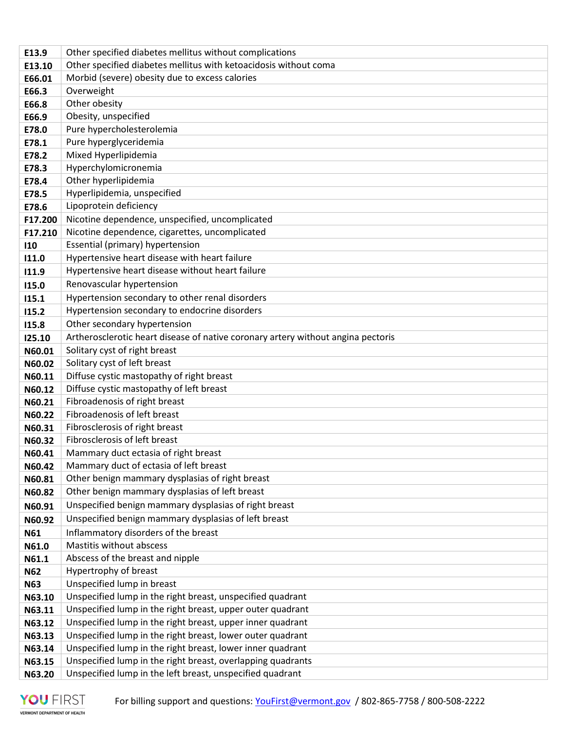| E13.9      | Other specified diabetes mellitus without complications                                                                   |
|------------|---------------------------------------------------------------------------------------------------------------------------|
| E13.10     | Other specified diabetes mellitus with ketoacidosis without coma                                                          |
| E66.01     | Morbid (severe) obesity due to excess calories                                                                            |
| E66.3      | Overweight                                                                                                                |
| E66.8      | Other obesity                                                                                                             |
| E66.9      | Obesity, unspecified                                                                                                      |
| E78.0      | Pure hypercholesterolemia                                                                                                 |
| E78.1      | Pure hyperglyceridemia                                                                                                    |
| E78.2      | Mixed Hyperlipidemia                                                                                                      |
| E78.3      | Hyperchylomicronemia                                                                                                      |
| E78.4      | Other hyperlipidemia                                                                                                      |
| E78.5      | Hyperlipidemia, unspecified                                                                                               |
| E78.6      | Lipoprotein deficiency                                                                                                    |
| F17.200    | Nicotine dependence, unspecified, uncomplicated                                                                           |
| F17.210    | Nicotine dependence, cigarettes, uncomplicated                                                                            |
| 110        | Essential (primary) hypertension                                                                                          |
| 11.0       | Hypertensive heart disease with heart failure                                                                             |
| 11.9       | Hypertensive heart disease without heart failure                                                                          |
| 115.0      | Renovascular hypertension                                                                                                 |
| 115.1      | Hypertension secondary to other renal disorders                                                                           |
| 115.2      | Hypertension secondary to endocrine disorders                                                                             |
| 115.8      | Other secondary hypertension                                                                                              |
| 125.10     | Artherosclerotic heart disease of native coronary artery without angina pectoris                                          |
| N60.01     | Solitary cyst of right breast                                                                                             |
| N60.02     | Solitary cyst of left breast                                                                                              |
| N60.11     | Diffuse cystic mastopathy of right breast                                                                                 |
| N60.12     | Diffuse cystic mastopathy of left breast                                                                                  |
| N60.21     | Fibroadenosis of right breast                                                                                             |
| N60.22     | Fibroadenosis of left breast                                                                                              |
| N60.31     | Fibrosclerosis of right breast                                                                                            |
| N60.32     | Fibrosclerosis of left breast                                                                                             |
| N60.41     | Mammary duct ectasia of right breast                                                                                      |
| N60.42     | Mammary duct of ectasia of left breast                                                                                    |
| N60.81     | Other benign mammary dysplasias of right breast                                                                           |
| N60.82     | Other benign mammary dysplasias of left breast                                                                            |
| N60.91     | Unspecified benign mammary dysplasias of right breast                                                                     |
| N60.92     | Unspecified benign mammary dysplasias of left breast                                                                      |
| N61        | Inflammatory disorders of the breast                                                                                      |
| N61.0      | Mastitis without abscess                                                                                                  |
| N61.1      | Abscess of the breast and nipple                                                                                          |
| <b>N62</b> | Hypertrophy of breast                                                                                                     |
| <b>N63</b> | Unspecified lump in breast                                                                                                |
| N63.10     | Unspecified lump in the right breast, unspecified quadrant                                                                |
| N63.11     | Unspecified lump in the right breast, upper outer quadrant                                                                |
| N63.12     | Unspecified lump in the right breast, upper inner quadrant                                                                |
| N63.13     | Unspecified lump in the right breast, lower outer quadrant                                                                |
| N63.14     | Unspecified lump in the right breast, lower inner quadrant<br>Unspecified lump in the right breast, overlapping quadrants |
| N63.15     | Unspecified lump in the left breast, unspecified quadrant                                                                 |
| N63.20     |                                                                                                                           |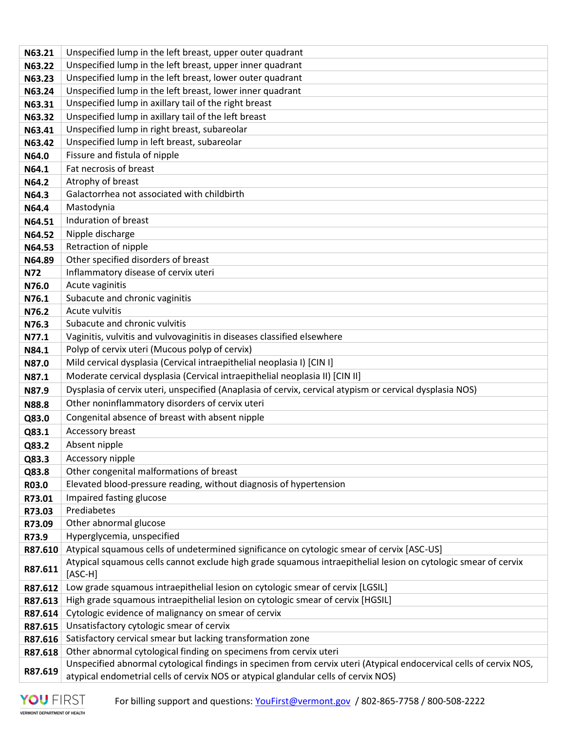| N63.21     | Unspecified lump in the left breast, upper outer quadrant                                                                                                                                                  |
|------------|------------------------------------------------------------------------------------------------------------------------------------------------------------------------------------------------------------|
| N63.22     | Unspecified lump in the left breast, upper inner quadrant                                                                                                                                                  |
| N63.23     | Unspecified lump in the left breast, lower outer quadrant                                                                                                                                                  |
| N63.24     | Unspecified lump in the left breast, lower inner quadrant                                                                                                                                                  |
| N63.31     | Unspecified lump in axillary tail of the right breast                                                                                                                                                      |
| N63.32     | Unspecified lump in axillary tail of the left breast                                                                                                                                                       |
| N63.41     | Unspecified lump in right breast, subareolar                                                                                                                                                               |
| N63.42     | Unspecified lump in left breast, subareolar                                                                                                                                                                |
| N64.0      | Fissure and fistula of nipple                                                                                                                                                                              |
| N64.1      | Fat necrosis of breast                                                                                                                                                                                     |
| N64.2      | Atrophy of breast                                                                                                                                                                                          |
| N64.3      | Galactorrhea not associated with childbirth                                                                                                                                                                |
| N64.4      | Mastodynia                                                                                                                                                                                                 |
| N64.51     | Induration of breast                                                                                                                                                                                       |
| N64.52     | Nipple discharge                                                                                                                                                                                           |
| N64.53     | Retraction of nipple                                                                                                                                                                                       |
| N64.89     | Other specified disorders of breast                                                                                                                                                                        |
| <b>N72</b> | Inflammatory disease of cervix uteri                                                                                                                                                                       |
| N76.0      | Acute vaginitis                                                                                                                                                                                            |
| N76.1      | Subacute and chronic vaginitis                                                                                                                                                                             |
| N76.2      | Acute vulvitis                                                                                                                                                                                             |
| N76.3      | Subacute and chronic vulvitis                                                                                                                                                                              |
| N77.1      | Vaginitis, vulvitis and vulvovaginitis in diseases classified elsewhere                                                                                                                                    |
| N84.1      | Polyp of cervix uteri (Mucous polyp of cervix)                                                                                                                                                             |
| N87.0      | Mild cervical dysplasia (Cervical intraepithelial neoplasia I) [CIN I]                                                                                                                                     |
| N87.1      | Moderate cervical dysplasia (Cervical intraepithelial neoplasia II) [CIN II]                                                                                                                               |
| N87.9      | Dysplasia of cervix uteri, unspecified (Anaplasia of cervix, cervical atypism or cervical dysplasia NOS)                                                                                                   |
| N88.8      | Other noninflammatory disorders of cervix uteri                                                                                                                                                            |
| Q83.0      | Congenital absence of breast with absent nipple                                                                                                                                                            |
| Q83.1      | Accessory breast                                                                                                                                                                                           |
| Q83.2      | Absent nipple                                                                                                                                                                                              |
| Q83.3      | Accessory nipple                                                                                                                                                                                           |
| Q83.8      | Other congenital malformations of breast                                                                                                                                                                   |
| R03.0      | Elevated blood-pressure reading, without diagnosis of hypertension                                                                                                                                         |
| R73.01     | Impaired fasting glucose                                                                                                                                                                                   |
| R73.03     | Prediabetes                                                                                                                                                                                                |
| R73.09     | Other abnormal glucose                                                                                                                                                                                     |
| R73.9      | Hyperglycemia, unspecified                                                                                                                                                                                 |
| R87.610    | Atypical squamous cells of undetermined significance on cytologic smear of cervix [ASC-US]                                                                                                                 |
| R87.611    | Atypical squamous cells cannot exclude high grade squamous intraepithelial lesion on cytologic smear of cervix<br>[ASC-H]                                                                                  |
| R87.612    | Low grade squamous intraepithelial lesion on cytologic smear of cervix [LGSIL]                                                                                                                             |
| R87.613    | High grade squamous intraepithelial lesion on cytologic smear of cervix [HGSIL]                                                                                                                            |
| R87.614    | Cytologic evidence of malignancy on smear of cervix                                                                                                                                                        |
| R87.615    | Unsatisfactory cytologic smear of cervix                                                                                                                                                                   |
| R87.616    | Satisfactory cervical smear but lacking transformation zone                                                                                                                                                |
| R87.618    | Other abnormal cytological finding on specimens from cervix uteri                                                                                                                                          |
| R87.619    | Unspecified abnormal cytological findings in specimen from cervix uteri (Atypical endocervical cells of cervix NOS,<br>atypical endometrial cells of cervix NOS or atypical glandular cells of cervix NOS) |